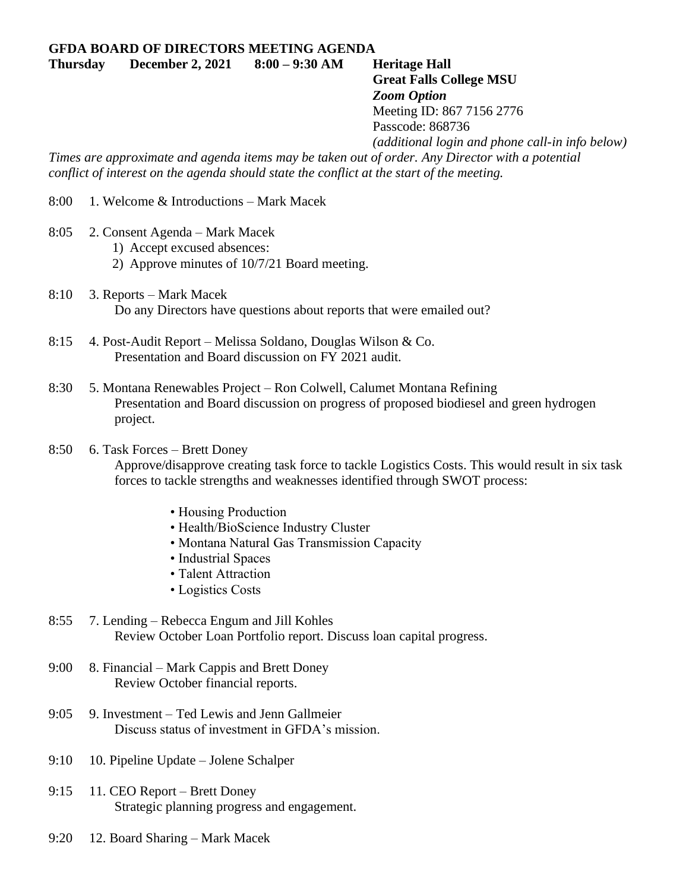**Thursday December 2, 2021 8:00 – 9:30 AM Heritage Hall Great Falls College MSU**

## *Zoom Option* Meeting ID: 867 7156 2776

Passcode: 868736

*(additional login and phone call-in info below)*

*Times are approximate and agenda items may be taken out of order. Any Director with a potential conflict of interest on the agenda should state the conflict at the start of the meeting.*

- 8:00 1. Welcome & Introductions Mark Macek
- 8:05 2. Consent Agenda Mark Macek
	- 1) Accept excused absences:
	- 2) Approve minutes of 10/7/21 Board meeting.
- 8:10 3. Reports Mark Macek Do any Directors have questions about reports that were emailed out?
- 8:15 4. Post-Audit Report Melissa Soldano, Douglas Wilson & Co. Presentation and Board discussion on FY 2021 audit.
- 8:30 5. Montana Renewables Project Ron Colwell, Calumet Montana Refining Presentation and Board discussion on progress of proposed biodiesel and green hydrogen project.

## 8:50 6. Task Forces – Brett Doney

Approve/disapprove creating task force to tackle Logistics Costs. This would result in six task forces to tackle strengths and weaknesses identified through SWOT process:

- Housing Production
- Health/BioScience Industry Cluster
- Montana Natural Gas Transmission Capacity
- Industrial Spaces
- Talent Attraction
- Logistics Costs
- 8:55 7. Lending Rebecca Engum and Jill Kohles Review October Loan Portfolio report. Discuss loan capital progress.
- 9:00 8. Financial Mark Cappis and Brett Doney Review October financial reports.
- 9:05 9. Investment Ted Lewis and Jenn Gallmeier Discuss status of investment in GFDA's mission.
- 9:10 10. Pipeline Update Jolene Schalper
- 9:15 11. CEO Report Brett Doney Strategic planning progress and engagement.
- 9:20 12. Board Sharing Mark Macek